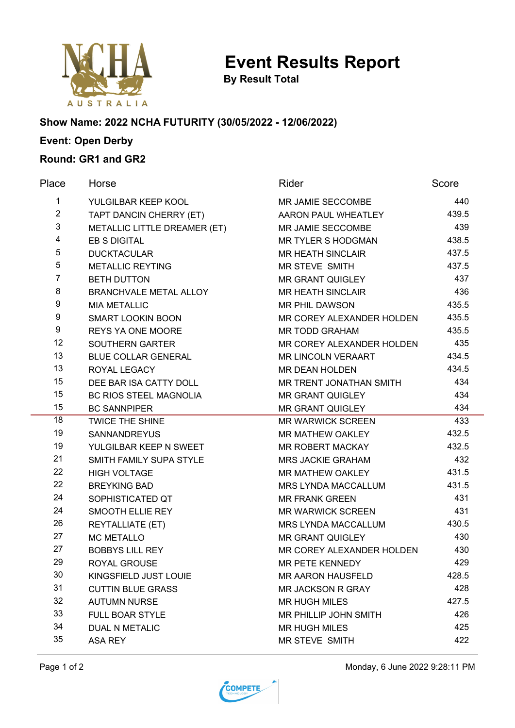

**Event Results Report**

**By Result Total**

### **Show Name: 2022 NCHA FUTURITY (30/05/2022 - 12/06/2022)**

# **Event: Open Derby**

## **Round: GR1 and GR2**

| Place          | Horse                         | Rider                     | Score |
|----------------|-------------------------------|---------------------------|-------|
| 1              | YULGILBAR KEEP KOOL           | MR JAMIE SECCOMBE         | 440   |
| $\overline{2}$ | TAPT DANCIN CHERRY (ET)       | AARON PAUL WHEATLEY       | 439.5 |
| 3              | METALLIC LITTLE DREAMER (ET)  | MR JAMIE SECCOMBE         | 439   |
| 4              | <b>EB S DIGITAL</b>           | <b>MR TYLER S HODGMAN</b> | 438.5 |
| 5              | <b>DUCKTACULAR</b>            | <b>MR HEATH SINCLAIR</b>  | 437.5 |
| 5              | <b>METALLIC REYTING</b>       | <b>MR STEVE SMITH</b>     | 437.5 |
| $\overline{7}$ | <b>BETH DUTTON</b>            | <b>MR GRANT QUIGLEY</b>   | 437   |
| 8              | <b>BRANCHVALE METAL ALLOY</b> | <b>MR HEATH SINCLAIR</b>  | 436   |
| 9              | <b>MIA METALLIC</b>           | <b>MR PHIL DAWSON</b>     | 435.5 |
| 9              | <b>SMART LOOKIN BOON</b>      | MR COREY ALEXANDER HOLDEN | 435.5 |
| 9              | <b>REYS YA ONE MOORE</b>      | <b>MR TODD GRAHAM</b>     | 435.5 |
| 12             | <b>SOUTHERN GARTER</b>        | MR COREY ALEXANDER HOLDEN | 435   |
| 13             | <b>BLUE COLLAR GENERAL</b>    | <b>MR LINCOLN VERAART</b> | 434.5 |
| 13             | ROYAL LEGACY                  | <b>MR DEAN HOLDEN</b>     | 434.5 |
| 15             | DEE BAR ISA CATTY DOLL        | MR TRENT JONATHAN SMITH   | 434   |
| 15             | <b>BC RIOS STEEL MAGNOLIA</b> | <b>MR GRANT QUIGLEY</b>   | 434   |
| 15             | <b>BC SANNPIPER</b>           | <b>MR GRANT QUIGLEY</b>   | 434   |
| 18             | <b>TWICE THE SHINE</b>        | <b>MR WARWICK SCREEN</b>  | 433   |
| 19             | <b>SANNANDREYUS</b>           | MR MATHEW OAKLEY          | 432.5 |
| 19             | YULGILBAR KEEP N SWEET        | MR ROBERT MACKAY          | 432.5 |
| 21             | SMITH FAMILY SUPA STYLE       | <b>MRS JACKIE GRAHAM</b>  | 432   |
| 22             | <b>HIGH VOLTAGE</b>           | MR MATHEW OAKLEY          | 431.5 |
| 22             | <b>BREYKING BAD</b>           | MRS LYNDA MACCALLUM       | 431.5 |
| 24             | SOPHISTICATED QT              | <b>MR FRANK GREEN</b>     | 431   |
| 24             | SMOOTH ELLIE REY              | <b>MR WARWICK SCREEN</b>  | 431   |
| 26             | <b>REYTALLIATE (ET)</b>       | MRS LYNDA MACCALLUM       | 430.5 |
| 27             | <b>MC METALLO</b>             | <b>MR GRANT QUIGLEY</b>   | 430   |
| 27             | <b>BOBBYS LILL REY</b>        | MR COREY ALEXANDER HOLDEN | 430   |
| 29             | ROYAL GROUSE                  | MR PETE KENNEDY           | 429   |
| 30             | KINGSFIELD JUST LOUIE         | <b>MR AARON HAUSFELD</b>  | 428.5 |
| 31             | <b>CUTTIN BLUE GRASS</b>      | <b>MR JACKSON R GRAY</b>  | 428   |
| 32             | <b>AUTUMN NURSE</b>           | <b>MR HUGH MILES</b>      | 427.5 |
| 33             | <b>FULL BOAR STYLE</b>        | MR PHILLIP JOHN SMITH     | 426   |
| 34             | <b>DUAL N METALIC</b>         | <b>MR HUGH MILES</b>      | 425   |
| 35             | <b>ASA REY</b>                | MR STEVE SMITH            | 422   |